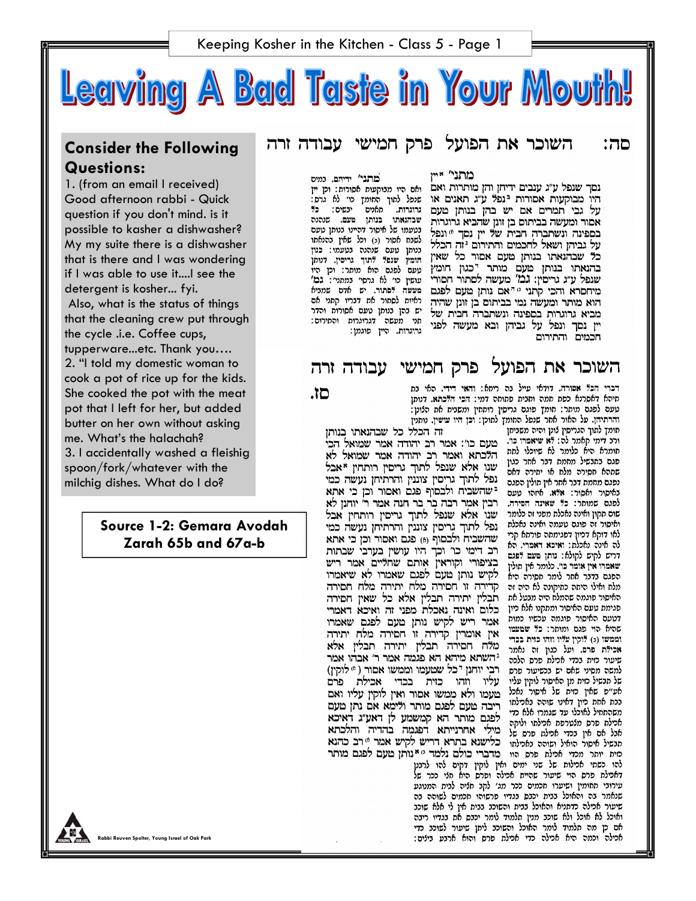

# **Consider the Following Questions:**

1. (from an email I received) Good afternoon rabbi - Quick question if you don't mind. is it possible to kasher a dishwasher? My my suite there is a dishwasher that is there and I was wondering if I was able to use it....I see the detergent is kosher... fyi. Also, what is the status of things that the cleaning crew put through the cycle .i.e. Coffee cups, tupperware...etc. Thank you…. 2. "I told my domestic woman to cook a pot of rice up for the kids. She cooked the pot with the meat pot that I left for her, but added butter on her own without asking me. What's the halachah? 3. I accidentally washed a fleishig spoon/fork/whatever with the milchig dishes. What do I do?

#### **Source 1-2: Gemara Avodah Zarah 65b and 67a-b**

השוכר את הפועל פרק חמישי עבודה זרה םה:

> מתני' ידיהם. נמים ינשים: כ? גרוגרות. מאנים בנותן טעם שנהנה בטעמו: כגון ראיות לסחור את דבריו קתני אם יש בהן בנותן טעם אסורות והדר תני מעשה דגרוגרות והתירום: גרוגרות. היין פוגמן:

מתני' איי

נסך שנפל ע"ג ענבים ידיחן והן מותרות ואם ואס היו מנוקעות אסורות: וק יין היו מבוקעות אסורות ינפל ע"ג תאנים או שנפל למוך הסומן כו׳ לא גרס: על גבי תמרים אם יש בהן בנותן טעם את השווה המותן המותן שבה<br/>ואת המותן השפה.<br>אסור ומעשה בביתום בן זונן שהביא גרוגרות שבה<br/>ואת המותן ביתו היים ו אסור ומעשה בביתום בן זוגן שהביא גרוגרות - שנושא מי ביני ביני על העבר.<br>בספינה ונשתברה חבית של יין נסך 6 ונסו של מינשמים לו פול מינו על המינו של המסו בספינה ונשתברה חבית של יין נסך ® ונפל למשוט מי היי היי מי מי קטני.<br>על גביהן ושאל לחכמים והתירום יזה הכלל לשנט מטוס מסוס. בעומו: כגון על גביון ושאל לחכבים וחדרום יחדות בלל פנוסן מעס שנסנס במעמו: כגון<br>כל שבהנאתו בנותן מעם אסור כל שאין חומץ שנפי יהוד גריסין, דגוסן<br>בדישתו ביותן מצות מעם בירות היומן הומץ שנפי יהוד בהנאתו בנותן מעם מותר דבגון חומץ עופ לפנס הוא מותר: וכן היו שנפל ע״ג גריםין: גֹבוֹ׳ מעשה לסתור חסורי עופין כו׳ לא גרסי׳ נממי׳: גבו׳ מיחסרא והכי קתני <sup>0 ה</sup>אם נותן מעם לפגם מעשה <sup>5</sup>פתור. יש אדס שמניא הוא מותר ומעשה נמי בביתום בן זונן שהיה מביא גרוגרות בספינה ונשתברה חבית של יין נסך ונפל על גביהן ובא מעשה לפני חכמים והתירום

# השוכר את הפועל פרק חמישי עבודה זרה

םו.

דברי הכל אסורה. דודאי עייל כה ריחא: והאי דידי, האי כת תיהא דאסרנא כפת חמה וחצית פתוחה דמי: הכי הלכתא. דנותן טעם לפגם מותר: חומך פוגם גריסין רותחין ומשניח את הלונן: והרתיחן. על האור אתר ענפל הסומך למוכן: וכן היו עושין. נופנין

זה הכלל כל שבהנאתו בנותן

ורג דימי קאמר לה: לא שיאמרו כו'. מעם כו': אמר רב יהודה אמר שמואל הכי ו כי הורה אמר הכי היה ביתוח של המור המור אמר רב יהודה אמר שמואל הכי<br>חומלת הית כלומל לת שיוכלו למה הלכרוא ואמר רב, הורה אמר שמואל לא שנו אלא שנפל לתוך גריסין רותחין \*אבל נפל לתוך גריסין צוננין והרתיחן נעשה כמי ישהשביח ולבסוף פגם ואסור וכן כי אתא לפגס שמותר: כל שאינה חסירה. רבין אמר רבה בר בר חנה אמר ר' יוחנן לא שום תקון ואינה נאכלת מפני זה כלומר - שנו - אלא - שנפל - לתוך - גריםין - רותחין - אבל<br>- ואיפור זה פוגם טעמה ואינה נאכלת - גפל - לתוך - גריםין - צוננין והרתיחן נעשה - כמי<br>- גם - שיבל - מיי - יייים - ייים - ייים - ייים - ייי שהשביח ולכסוף (6) פגם ואסור וכן כי אתא רב דימי כו' וכך היו עושין בערבי שבתות בציפורי וקוראין אותם שחליים אמר ריש לקיש נותן טעם לפגם שאמרו לא שיאמרו קדירה זו חסירה מלח יתירה מלח חסירה תבלין יתירה תבלין אלא כל שאין חסירה כלום ואינה נאכלת מפני זה ואיכא דאמרי אמר ריש לקיש נותן טעם לפגם שאמרו אין אומרין קדירה זו חסירה מלח יתירה מלח חסירה תבלין יתירה תבלין אלא יהשתא מיהא הא פגמה אמר ר' אבהו אמר רבי יוחנן <sup>ד</sup>כל שטעמו וממשו אסור ( 6 לוקין) עליו וזהו כזית בכדי אכילת פרם טעמו ולא ממשו אסור ואין לוקין עליו ואם ריבה טעם לפגם מותר ולימא אם נתן טעם לפגם מותר הא קמשמע לן דאע״ג דאיכא מילי אחרנייתא דפגמה בהדיה והלכתא תוכל אם מור הואיל ושוהה נאמילהו כלישנא בתרא דריש לקיש אמר "רב כהנא סית יותר מכדי אכילת פרס הוו -מדברי כולם נלמד <sup>ם א</sup>נותן טעם לפגם מותר

חומך לתוך הגריסין לונן והיה משביתן פגם בתבשיל מחמת דבר אחר כגון שתהא חסירה מלח או יחירה דאם נפגם מחמת דבר אחר אין תולין הפגם באיסור ואסור: אלא. איזהו טעם לאו דוקא דכיון דפגימתה פורתא קרי לה אינה נאכלת: ואיכא דאמרי. הא דרים לקים לקולא: נותן מעם לפגם שאמרו אין אומר כו׳. כלומר אין תולין הפגם בדבר אחר לומר חסירה היא מלח ואילו היתה כתיקונה לא היה זה האיסור פוגמה שהמלח היה מבטל את פגימת טעם האיסור ומתקנו אלא כיון דטעם האיסור פוגמה עכשיו כמות שמעמו הוי פגס ומותר: כל שמעמו וממשו (3) לוקין עליו וזהו כזית בכדי אכילת פרם. ועל כגון זה נאמר שיעור מית בכדי אכילת פרס הלכה למשה מסיני שאם יש בכשיעור פרס של תבשיל כזית מן האיסור לוקין עליו אע״פ שאין כזית של איסור נאכל בבת אחת כיון דאינו שוהה באכילתו משהתחיל לאוכלו עד שגמרו אלא כדי אכילת פרס מלטרפת אכילתו ולוקה אבל אם אין בכדי אכילת פרס של

להו כשתי אכילות של שני ימים ואין לוקין דקים להו לרבנן דאכילת פרס הוי שיעור שהיית אכילה ופרס היא חלי ככר של עירובי תחומין ושיערו חכמים ככר מג' לקב חליה לבית המנוגע שנאמר בה והאוכל בבית יכבס בגדיו פרשוהו חכמים לשוהה בה שיעור אכילה כדתניא והאוכל בבית והשוכב בבית אין לי אלא שוכב ואוכל לא אוכל ולא שוכב מנין תלמוד לומר יכבס את בגדיו ריבה אם כן מה תלמוד לומר האוכל והשוכב ליתן שיעור לשוכב כדי אכילה וכמה היא אכילה כדי אכילת פרס והוא ארבע בילים:

**Rabbi Reuven Spolter, Young Israel of Oak Park**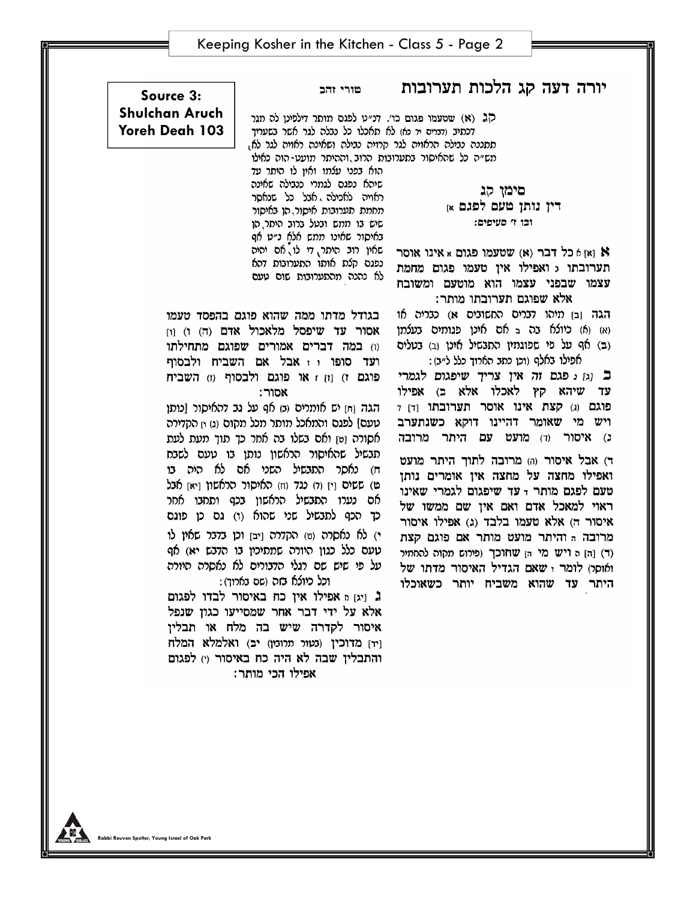## יורה דעה קג הלכות תערובות

טורי זהב

קג (א) שטעמו פגום כו׳. דנ״ט לפגס מותר דילפינו לה מגר דכתיב (דברים יר כא) לא תאכלו כל נבלה לגר אשר בשעריך תתננה נבילה הראויה לגר קרויה נבילה ושאינה ראויה לגר לא, מש״ה כל שהאיסור בתערובות הרוב וההיתר מועט-הוה כאילו הוא בפני עלמו ואין לו היתר עד

שיהא נפגם לגמרי כנבילה שאינה ראויה לאכילה אבל כל שנאסר מחמת תערובות איסור הו באיסור שיש בו ממש ובטל ברוב היתר הן באיסור שאינו ממש אלא נ״ט אף שאין רוב היתר, די לו, אם יהיה נפגם קלת אותו התערובות דהא לא נהנה מהתערובות שום טעם

### Source 3: **Shulchan Aruch** Yoreh Deah 103

םימו הג דין נותן טעם לפגם א וכו ו' מעיפים:

א ואן h כל דבר (א) שטעמו פגום א אינו אוסר תערובתו 5 ואפילו אין טעמו פגום מחמת עצמו שבפני עצמו הוא מוטעם ומשובח אלא שפוגם תערובתו מותר:

הגה [ב] מיהו דברים החשובים א) כבריה או (א) (א) כיולא בה ב אם אינן פגומים בעלמן (ב) אף על מי שמוגמין התגשיל אינן (ב) בטלים אפילו באלף (וכן כתב הארוך כלל ל״ב):

ב [ג] ג פגם זה אין צריך שיפגום לגמרי עד שיהא קץ לאכלו אלא ב) אפילו פוגם (ג) קצת אינו אוסר תערובתו [ד] 7 ויש מי שאומר דהיינו דוקא כשנתערב ג) איסור (ד) מועט עם היתר מרובה

ד) אבל איסור (ה) מרובה לתוך היתר מועט ואפילו מחצה על מחצה אין אומרים נותן טעם לפגם מותר <sub>ד</sub>עד שיפגום לגמרי שאינו ראוי למאכל אדם ואם אין שם ממשו של איסור ה) אלא טעמו בלבד (ג) אפילו איסור מרובה ה והיתר מועט מותר אם פוגם קצת (ד) [ה] ה ויש מי הן שחוכך (פירוש מקוה להחמיר) ואוסו) לומר ו שאם הגדיל האיסור מדתו של היתר עד שהוא משביח יותר כשאוכלו

בגודל מדתו ממה שהוא פוגם בהפסד טעמו אסור עד שיפסל מלאכול אדם (ה) ו) וו וו) במה דברים אמורים שפוגם מתחילתו ועד סופו ו זאבל אם השביח ולבסוף פוגם ז) וזן זאו פוגם ולבסוף (ז) השביח אסור:

הגה וחז יש אומרים וב) אף על גב דהאיסור [כותו טעם] לפגם והמאכל מותר מכל מקום (ג) <sub>י</sub>ז הקדירה אסורה [ט] ואם בשלו בה אחר כך תוך מעת לעת תבשיל שהאיסור הראשון נותן בו טעם לשבח ח) נאסר התבשיל השני אם לא היה בו מ) ששים וַיְן (ד) כגד (ח) האיסור הראשון וַיאן אבל אם נערו התבשיל הראשון בכף ותחבו אחר כך הכף לתבשיל שני שהוא (ו) גם כן פוגם י) לא נאסרה (ט) הקדרה [יב] וכן בדבר שאין לו טעם כלל כגון היורה שמתיכין בו הדבש יא) אף על פי שיש שם רגלי הדבורים לא נאסרה היורה וכל כיולא בזה (שם בארוך):

ג ויגן a אפילו אין כח באיסור לבדו לפגום אלא על ידי דבר אחר שמסייעו כגון שנפל איסור לקדרה שיש בה מלח או תבלין [יד] מדוכין (נטור תרוניו) יב) ואלמלא המלח והתבלין שבה לא היה כח באיסור (י) לפגום אפילו הכי מותר: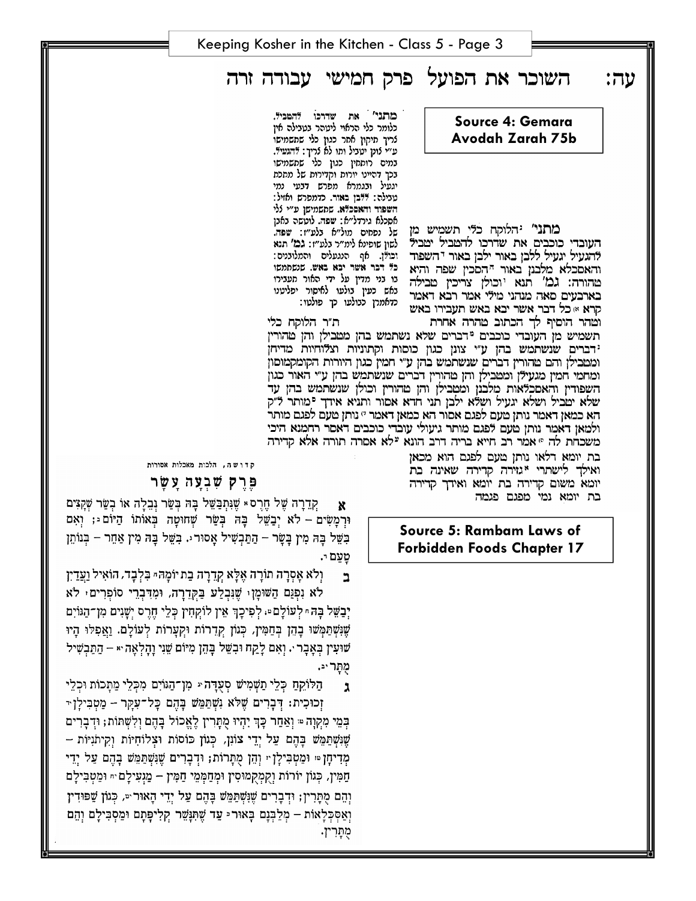השוכר את הפועל פרק חמישי עבודה זרה

**Source 4: Gemara Avodah Zarah 75b** 

מתני' יהלוקח כלי תשמיש מן העוברי כוכבים את שררכו להטביל יטביל להגעיל יגעיל ללבן באור ילבן באור יהשפוד והאסכלא מלבנן באור ההסכין שפה והיא טהורה: גמ' תנא יוכולן צריכין טבילה בארבעים סאה מנהני מילי אמר רבא דאמר קרא » כל דבר אשר יבא באש תעבירו באש

מתני' את שדרכו להמניל. כלומר כלי הראוי ליטהר בטבילה אין לריך תיקון אחר כגון כלי שתשמישו ע״י לונן יטביל ותו לא לריך: הגעיד. במים רותחין כגון כלי שתשמישו בכך דהיינו יורות וקדירות של מתכת יגעיל ובגמרא מפרש דבעי נמי טבילה: דדבן באור. כדמפרש ואזיל: השפוד והאסכלא. שתשמישן ע״י ללי אסכלא גירדל״א: שפה. לוטשה באבן של נפחים מול״א בלע״ז: שפה. לשון שופינא לימ״ר בלע״ז: גמ׳ תנא וכודן. אף הנגעלים והמלובנים: כל דבר אשר יבא באש. שנשתתשו בו בני מדין על ידי האור מעבירו באש כעין בולעו לאיסור יפליטנו כדאמרן כבולעו כך פולטו:

ת״ר הלוקח כלי וטהר הוסיף לך הכתוב טהרה אחרת תשמיש מן העובדי כוכבים <sup>מ</sup>דברים שלא נשתמש בהן מטבילן והן טהורין ידברים שנשתמש בהן ע"י צונן כגון כוסות וקתוניות וצלוחיות מדיחן ומטבילן והם טהורין דברים שנשתמש בהן ע״י חמין כגון היורות הקומקמוסון ומחמי חמין מגעילן ומטבילן והן טהורין דברים שנשתמש בהן ע"י האור כגון השפודין והאסכלאות מלבנן ומטבילן והן טהורין וכולן שנשתמש בהן עד שלא יטביל ושלא יגעיל ושלא ילכן תני חדא אסור ותניא אידך יכותר ד״ק הא כמאן דאמר נותן טעם לפגם אסור הא כמאן דאמר י׳ נותן טעם לפגם מותר ולמאן דאמר נותן טעם לפגם מותר גיעולי עובדי כוכבים דאסר רחמנא היכי משכחת לה ® אמר רב חייא בריה דרב הונא <sup>ע</sup>לא אסרה תורה אלא קדירה

> בת יומא דלאו נותן מעם לפגם הוא מכאן ואילך לישתרי "גזירה קרירה שאינה בת יומא משום קדירה בת יומא ואידך קדירה בת יומא נמי מפגם פגמה

#### **Source 5: Rambam Laws of Forbidden Foods Chapter 17**

קדוש ה, הלכות מאכלות אסורות

פרק שבעה עשר

קדרה של חרס » שנתבשל בה בשר נבלה או בשר שקצים  $\mathbf{x}$ וּרְמַשִּׂים – לֹא יְבַשֵּׁל בָּה בְּשֵׂר שָׁחוּטָה בְּאוֹתוֹ הַיּוֹם וּ; וְאִם בְשֵׁל בֵּה מִין בַּשַּׂר – הַתַּבִשִּׁיל אַסוּר וּ. בִשֵּׁל בַּה מִין אַחֵר – בִּנוֹתֵן טעם י.

וִלֹא אָסְרָה תוֹרָה אֶלָּא קְדֵרָה בַת יוֹמָהּ״ בִּלְבָד, הוֹאִיל וַעֲדַיִן ב

לא וִפְגַם הַשׁוּמָן ּשֶׁנִּבְלַע בַּקְדֶרָה, וּמְדִּבְרֵי סוֹפִרִים ּ לֹא יְבַשֵּׁל בָּה ּ לְעוֹלָם ּ לִפִיכָךְ אֵין לוֹקִחִין כְּלֵי חֵרֵס יִשָּׁנִים מִן־הַגּוֹיִם שֶׁנִּשְׁתַּמְשׁוּ בָהֶן בִּחַמִּין, כְּגוֹן קִדְרוֹת וּקִעֲרוֹת לְעוֹלָם. וַאֲפִלּוּ הָיוּ שׁוּעִין בְּאָבָר ּ. וְאִם לַקַח וּבְשֵׁל בָּהֶן מִיּוֹם שֵׁנִי וַהַלְאָה ּ + הַתַּבְשִׁיל מתר יב.

הַלּוֹקִהַ כְּלֵי תַשְׁמִישׁ סְעֻדָּה יּ מִן־הַגּוֹיִם מִכְּלֵי מַתָּכוֹת וּכְלֵי  $\mathbf{r}$ ּזְכוּכִית: דְּבַרִים שֶׁלֹּא נְשָׁתַמֵּשׁ בַּהָם כַּל־עָקַר – מֵטְבִּילַן +

ּבִּמֵי מִקְוָה ּּי וְאַחַר כָּךְ יָהִיוּ מֻתַּרִין לֵאֱכוֹל בָּהֶם וְלִשְׁתּוֹת; וּדִבָּרִים שֲנִשְׁתַּמֵּשׁ בַּהֵם עַל יָדֵי צוֹנְן, כִּגוֹן כּוֹסוֹת וּצְלוֹחִיוֹת וִקִיתֹנִיּוֹת – מְדִיחָן ּי וּמַטְבִּילַן י וְהֵן מִתְּרוֹת; וּדְבָרִים שֵׁנִּשְׁתַּמֵּשׁ בָּהֶם עַל יְדֵי חַמִּין, כִּגוֹן יוֹרוֹת וַקִמְקִמוּסִין וּמִחַמְּמֵי חַמִּין – מַגְעִילַם ּיִ וּמַטִּבִּילַם וְהֵם מְתַּרְין; וּדְבָרִים שֶׁנִּשְׁתַּמֵּשׁ בָּהֶם עַל יְדֵי הָאוּר ִּיּ, כְּגוֹן שַׁפּוּדִין וְאַסְּכְלָאוֹת – מְלֵבְּנָם בָּאוּר ּ עַד שֵׁתִּנָּשֵׁר קִלְיפָּתָם וּמֵסְבִילָם וְהֵם מֻתָּרִין. עה: